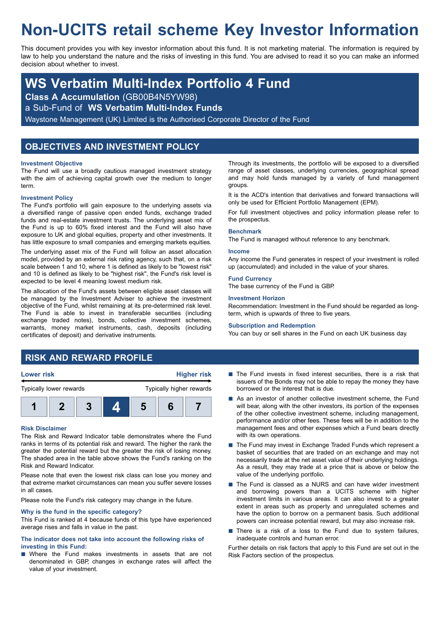# **Non-UCITS retail scheme Key Investor Information**

This document provides you with key investor information about this fund. It is not marketing material. The information is required by law to help you understand the nature and the risks of investing in this fund. You are advised to read it so you can make an informed decision about whether to invest.

## **WS Verbatim Multi-Index Portfolio 4 Fund**

**Class A Accumulation** (GB00B4N5YW98)

a Sub-Fund of **WS Verbatim Multi-Index Funds**

Waystone Management (UK) Limited is the Authorised Corporate Director of the Fund

## **OBJECTIVES AND INVESTMENT POLICY**

#### **Investment Objective**

The Fund will use a broadly cautious managed investment strategy with the aim of achieving capital growth over the medium to longer term.

#### **Investment Policy**

The Fund's portfolio will gain exposure to the underlying assets via a diversified range of passive open ended funds, exchange traded funds and real-estate investment trusts. The underlying asset mix of the Fund is up to 60% fixed interest and the Fund will also have exposure to UK and global equities, property and other investments. It has little exposure to small companies and emerging markets equities.

The underlying asset mix of the Fund will follow an asset allocation model, provided by an external risk rating agency, such that, on a risk scale between 1 and 10, where 1 is defined as likely to be "lowest risk" and 10 is defined as likely to be "highest risk", the Fund's risk level is expected to be level 4 meaning lowest medium risk.

The allocation of the Fund's assets between eligible asset classes will be managed by the Investment Adviser to achieve the investment objective of the Fund, whilst remaining at its pre-determined risk level. The Fund is able to invest in transferable securities (including exchange traded notes), bonds, collective investment schemes, warrants, money market instruments, cash, deposits (including certificates of deposit) and derivative instruments.

Through its investments, the portfolio will be exposed to a diversified range of asset classes, underlying currencies, geographical spread and may hold funds managed by a variety of fund management groups.

It is the ACD's intention that derivatives and forward transactions will only be used for Efficient Portfolio Management (EPM).

For full investment objectives and policy information please refer to the prospectus.

#### **Benchmark**

The Fund is managed without reference to any benchmark.

#### **Income**

Any income the Fund generates in respect of your investment is rolled up (accumulated) and included in the value of your shares.

#### **Fund Currency**

The base currency of the Fund is GBP.

#### **Investment Horizon**

Recommendation: Investment in the Fund should be regarded as longterm, which is upwards of three to five years.

#### **Subscription and Redemption**

You can buy or sell shares in the Fund on each UK business day.

### **RISK AND REWARD PROFILE**



#### **Risk Disclaimer**

The Risk and Reward Indicator table demonstrates where the Fund ranks in terms of its potential risk and reward. The higher the rank the greater the potential reward but the greater the risk of losing money. The shaded area in the table above shows the Fund's ranking on the Risk and Reward Indicator.

Please note that even the lowest risk class can lose you money and that extreme market circumstances can mean you suffer severe losses in all cases.

Please note the Fund's risk category may change in the future.

#### **Why is the fund in the specific category?**

This Fund is ranked at 4 because funds of this type have experienced average rises and falls in value in the past.

#### **The indicator does not take into account the following risks of investing in this Fund:**

■ Where the Fund makes investments in assets that are not denominated in GBP, changes in exchange rates will affect the value of your investment.

- $\blacksquare$  The Fund invests in fixed interest securities, there is a risk that issuers of the Bonds may not be able to repay the money they have borrowed or the interest that is due.
- As an investor of another collective investment scheme, the Fund will bear, along with the other investors, its portion of the expenses of the other collective investment scheme, including management, performance and/or other fees. These fees will be in addition to the management fees and other expenses which a Fund bears directly with its own operations.
- The Fund may invest in Exchange Traded Funds which represent a basket of securities that are traded on an exchange and may not necessarily trade at the net asset value of their underlying holdings. As a result, they may trade at a price that is above or below the value of the underlying portfolio.
- The Fund is classed as a NURS and can have wider investment and borrowing powers than a UCITS scheme with higher investment limits in various areas. It can also invest to a greater extent in areas such as property and unregulated schemes and have the option to borrow on a permanent basis. Such additional powers can increase potential reward, but may also increase risk.
- $\blacksquare$  There is a risk of a loss to the Fund due to system failures, inadequate controls and human error.

Further details on risk factors that apply to this Fund are set out in the Risk Factors section of the prospectus.